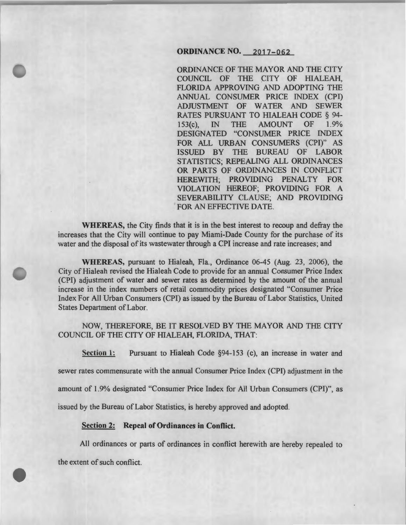## ORDINANCE NO. 2017-062

ORDINANCE OF THE MAYOR AND THE CITY COUNCIL OF THE CITY OF HIALEAH, FLORIDA APPROVING AND ADOPTING THE ANNUAL CONSUMER PRICE INDEX (CPI) ADJUSTMENT OF WATER AND SEWER RATES PURSUANT TO HIALEAH CODE § 94- 153(c), IN THE AMOUNT OF 1.9% DESIGNATED "CONSUMER PRICE INDEX FOR ALL URBAN CONSUMERS (CPI)" AS ISSUED BY THE BUREAU OF LABOR STATISTICS; REPEALING ALL ORDINANCES OR PARTS OF ORDINANCES IN CONFLICT HEREWITH; PROVIDING PENALTY FOR VIOLATION HEREOF; PROVIDING FOR A SEVERABILITY CLAUSE; AND PROVIDING FOR AN EFFECTIVE DATE.

WHEREAS, the City finds that it is in the best interest to recoup and defray the increases that the City will continue to pay Miami-Dade County for the purchase of its water and the disposal of its wastewater through a CPI increase and rate increases; and

WHEREAS, pursuant to Hialeah, Fla., Ordinance 06-45 (Aug. 23, 2006), the City of Hialeah revised the Hialeah Code to provide for an annual Consumer Price Index (CPI) adjustment of water and sewer rates as determined by the amount of the annual increase in the index numbers of retail commodity prices designated "Consumer Price Index For All Urban Consumers (CPI) as issued by the Bureau ofLabor Statistics, United States Department of Labor.

# NOW, THEREFORE, BE IT RESOLVED BY THE MAYOR AND THE CITY COUNCIL OF THE CITY OF HIALEAH, FLORIDA, THAT:

Section 1: Pursuant to Hialeah Code §94-153 (c), an increase in water and

sewer rates commensurate with the annual Consumer Price Index (CPI) adjustment in the

amount of 1.9% designated "Consumer Price Index for All Urban Consumers (CPI)", as

issued by the Bureau of Labor Statistics, is hereby approved and adopted.

#### Section 2: Repeal of Ordinances **in** Conflict.

All ordinances or parts of ordinances in conflict herewith are hereby repealed to

the extent of such conflict.